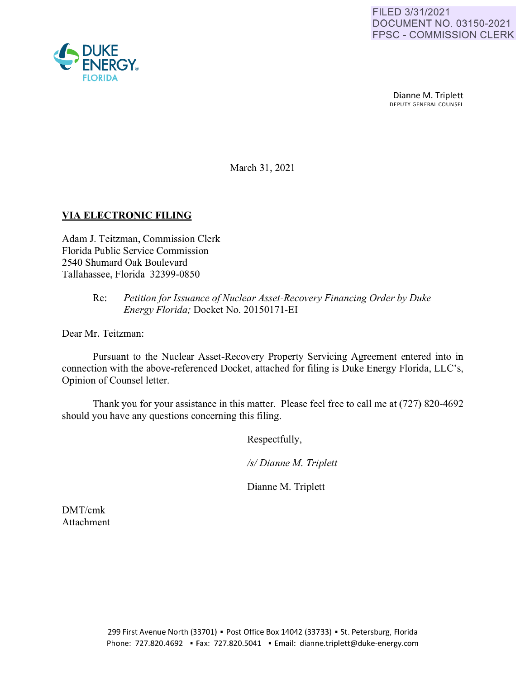

Dianne M. Triplett<br>DEPUTY GENERAL COUNSEL

March 31, 2021

## **VIA ELECTRONIC FILING**

Adam J. Teitzman, Commission Clerk Florida Public Service Commission 2540 Shumard Oak Boulevard Tallahassee, Florida 32399-0850

## Re: *Petition for Issuance of Nuclear Asset-Recovery Financing Order by Duke Energy Florida,·* Docket No. 20150171-EI

Dear Mr. Teitzman:

Pursuant to the Nuclear Asset-Recovery Property Servicing Agreement entered into in connection with the above-referenced Docket, attached for filing is Duke Energy Florida, LLC's, Opinion of Counsel letter.

Thank you for your assistance in this matter. Please feel free to call me at (727) 820-4692 should you have any questions concerning this filing.

Respectfully,

*Isl Dianne M. Triplett* 

Dianne M. Triplett

DMT/cmk Attachment

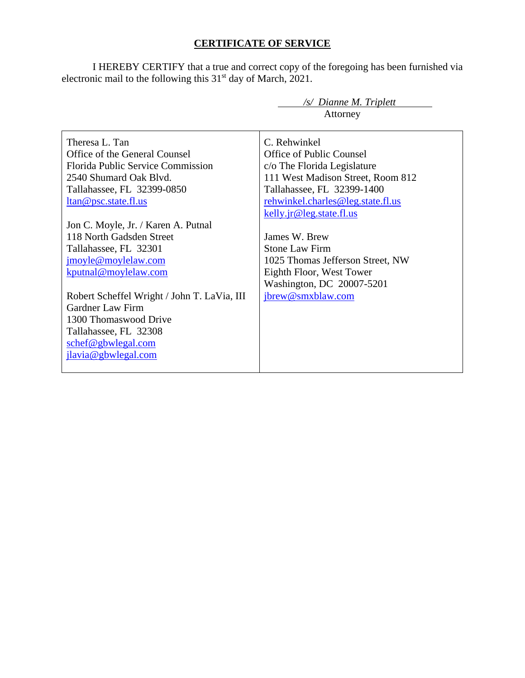## **CERTIFICATE OF SERVICE**

I HEREBY CERTIFY that a true and correct copy of the foregoing has been furnished via electronic mail to the following this  $31<sup>st</sup>$  day of March, 2021.

|                                             | /s/ Dianne M. Triplett            |
|---------------------------------------------|-----------------------------------|
|                                             | Attorney                          |
|                                             |                                   |
| Theresa L. Tan                              | C. Rehwinkel                      |
| Office of the General Counsel               | Office of Public Counsel          |
| <b>Florida Public Service Commission</b>    | c/o The Florida Legislature       |
| 2540 Shumard Oak Blvd.                      | 111 West Madison Street, Room 812 |
| Tallahassee, FL 32399-0850                  | Tallahassee, FL 32399-1400        |
| ltan@psc.state.fl.us                        | rehwinkel.charles@leg.state.fl.us |
|                                             | kelly.jr@leg.state.fl.us          |
| Jon C. Moyle, Jr. / Karen A. Putnal         |                                   |
| 118 North Gadsden Street                    | James W. Brew                     |
| Tallahassee, FL 32301                       | <b>Stone Law Firm</b>             |
| jmoyle@moylelaw.com                         | 1025 Thomas Jefferson Street, NW  |
| kputnal@moylelaw.com                        | Eighth Floor, West Tower          |
|                                             | Washington, DC 20007-5201         |
| Robert Scheffel Wright / John T. LaVia, III | jbrew@smxblaw.com                 |
| <b>Gardner Law Firm</b>                     |                                   |
| 1300 Thomaswood Drive                       |                                   |
| Tallahassee, FL 32308                       |                                   |
| schef@gbwlegal.com                          |                                   |
| jlavia@gbwlegal.com                         |                                   |
|                                             |                                   |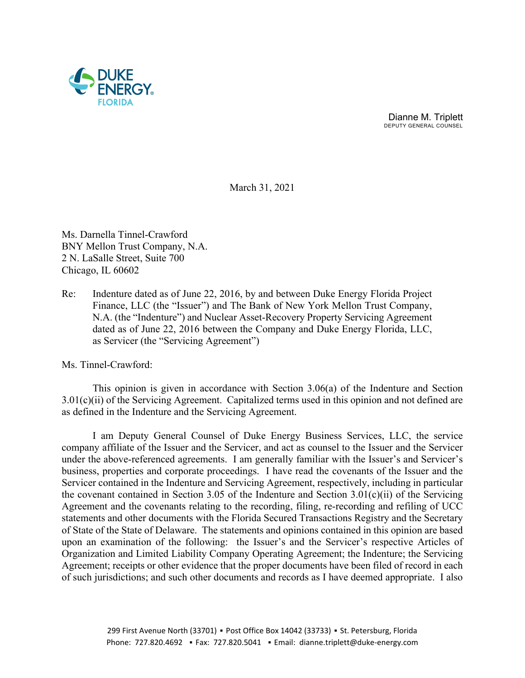

Dianne M. Triplett DEPUTY GENERAL COUNSEL

March 31, 2021

Ms. Darnella Tinnel-Crawford BNY Mellon Trust Company, N.A. 2 N. LaSalle Street, Suite 700 Chicago, IL 60602

Re: Indenture dated as of June 22, 2016, by and between Duke Energy Florida Project Finance, LLC (the "Issuer") and The Bank of New York Mellon Trust Company, N.A. (the "Indenture") and Nuclear Asset-Recovery Property Servicing Agreement dated as of June 22, 2016 between the Company and Duke Energy Florida, LLC, as Servicer (the "Servicing Agreement")

Ms. Tinnel-Crawford:

This opinion is given in accordance with Section 3.06(a) of the Indenture and Section 3.01(c)(ii) of the Servicing Agreement. Capitalized terms used in this opinion and not defined are as defined in the Indenture and the Servicing Agreement.

I am Deputy General Counsel of Duke Energy Business Services, LLC, the service company affiliate of the Issuer and the Servicer, and act as counsel to the Issuer and the Servicer under the above-referenced agreements. I am generally familiar with the Issuer's and Servicer's business, properties and corporate proceedings. I have read the covenants of the Issuer and the Servicer contained in the Indenture and Servicing Agreement, respectively, including in particular the covenant contained in Section 3.05 of the Indenture and Section 3.01(c)(ii) of the Servicing Agreement and the covenants relating to the recording, filing, re-recording and refiling of UCC statements and other documents with the Florida Secured Transactions Registry and the Secretary of State of the State of Delaware. The statements and opinions contained in this opinion are based upon an examination of the following: the Issuer's and the Servicer's respective Articles of Organization and Limited Liability Company Operating Agreement; the Indenture; the Servicing Agreement; receipts or other evidence that the proper documents have been filed of record in each of such jurisdictions; and such other documents and records as I have deemed appropriate. I also